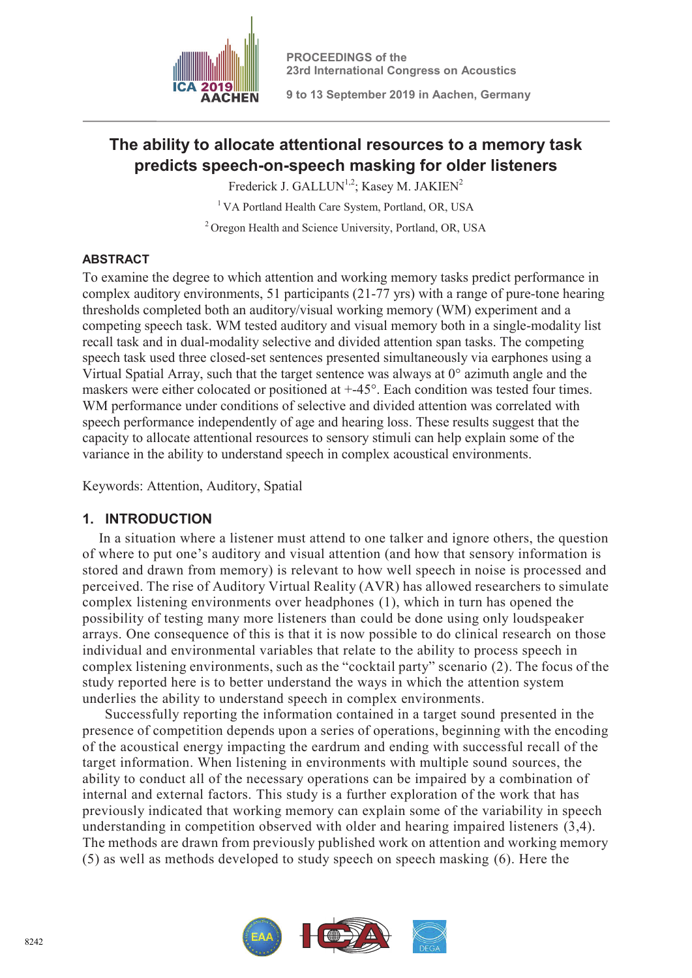

**9 to 13 September 2019 in Aachen, Germany**

# **The ability to allocate attentional resources to a memory task predicts speech-on-speech masking for older listeners**

Frederick J. GALLUN<sup>1,2</sup>; Kasey M. JAKIEN<sup>2</sup>

<sup>1</sup> VA Portland Health Care System, Portland, OR, USA

<sup>2</sup> Oregon Health and Science University, Portland, OR, USA

### **ABSTRACT**

To examine the degree to which attention and working memory tasks predict performance in complex auditory environments, 51 participants (21-77 yrs) with a range of pure-tone hearing thresholds completed both an auditory/visual working memory (WM) experiment and a competing speech task. WM tested auditory and visual memory both in a single-modality list recall task and in dual-modality selective and divided attention span tasks. The competing speech task used three closed-set sentences presented simultaneously via earphones using a Virtual Spatial Array, such that the target sentence was always at  $0^{\circ}$  azimuth angle and the maskers were either colocated or positioned at +-45°. Each condition was tested four times. WM performance under conditions of selective and divided attention was correlated with speech performance independently of age and hearing loss. These results suggest that the capacity to allocate attentional resources to sensory stimuli can help explain some of the variance in the ability to understand speech in complex acoustical environments.

Keywords: Attention, Auditory, Spatial

# **1. INTRODUCTION**

In a situation where a listener must attend to one talker and ignore others, the question of where to put one's auditory and visual attention (and how that sensory information is stored and drawn from memory) is relevant to how well speech in noise is processed and perceived. The rise of Auditory Virtual Reality (AVR) has allowed researchers to simulate complex listening environments over headphones (1), which in turn has opened the possibility of testing many more listeners than could be done using only loudspeaker arrays. One consequence of this is that it is now possible to do clinical research on those individual and environmental variables that relate to the ability to process speech in complex listening environments, such as the "cocktail party" scenario (2). The focus of the study reported here is to better understand the ways in which the attention system underlies the ability to understand speech in complex environments.

 Successfully reporting the information contained in a target sound presented in the presence of competition depends upon a series of operations, beginning with the encoding of the acoustical energy impacting the eardrum and ending with successful recall of the target information. When listening in environments with multiple sound sources, the ability to conduct all of the necessary operations can be impaired by a combination of internal and external factors. This study is a further exploration of the work that has previously indicated that working memory can explain some of the variability in speech understanding in competition observed with older and hearing impaired listeners (3,4). The methods are drawn from previously published work on attention and working memory (5) as well as methods developed to study speech on speech masking (6). Here the

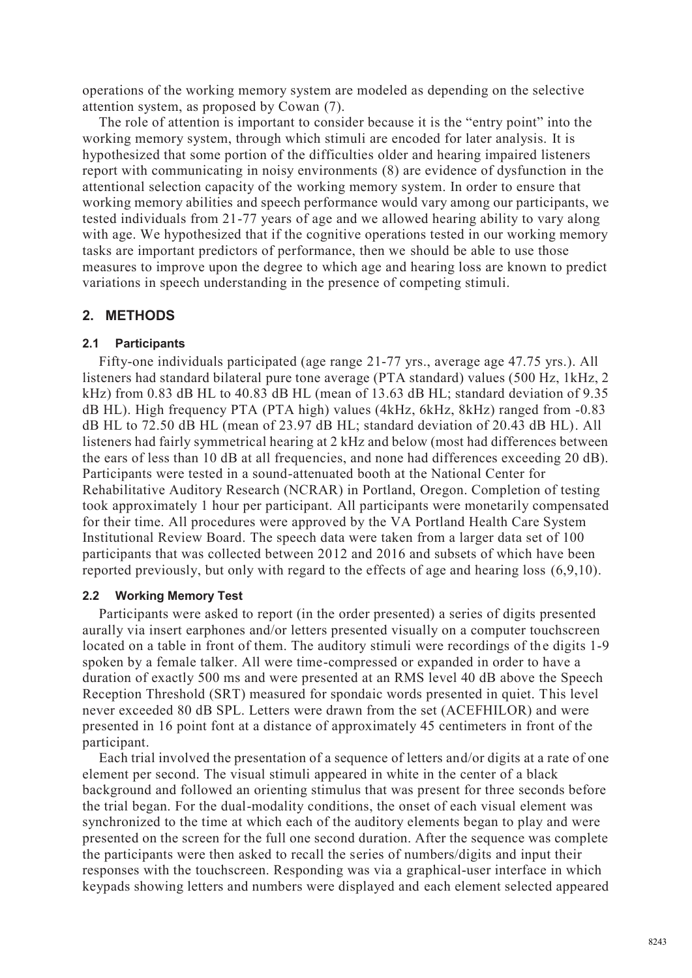operations of the working memory system are modeled as depending on the selective attention system, as proposed by Cowan (7).

The role of attention is important to consider because it is the "entry point" into the working memory system, through which stimuli are encoded for later analysis. It is hypothesized that some portion of the difficulties older and hearing impaired listeners report with communicating in noisy environments (8) are evidence of dysfunction in the attentional selection capacity of the working memory system. In order to ensure that working memory abilities and speech performance would vary among our participants, we tested individuals from 21-77 years of age and we allowed hearing ability to vary along with age. We hypothesized that if the cognitive operations tested in our working memory tasks are important predictors of performance, then we should be able to use those measures to improve upon the degree to which age and hearing loss are known to predict variations in speech understanding in the presence of competing stimuli.

### **2. METHODS**

#### **2.1 Participants**

Fifty-one individuals participated (age range 21-77 yrs., average age 47.75 yrs.). All listeners had standard bilateral pure tone average (PTA standard) values (500 Hz, 1kHz, 2 kHz) from 0.83 dB HL to 40.83 dB HL (mean of 13.63 dB HL; standard deviation of 9.35 dB HL). High frequency PTA (PTA high) values (4kHz, 6kHz, 8kHz) ranged from -0.83 dB HL to 72.50 dB HL (mean of 23.97 dB HL; standard deviation of 20.43 dB HL). All listeners had fairly symmetrical hearing at 2 kHz and below (most had differences between the ears of less than 10 dB at all frequencies, and none had differences exceeding 20 dB). Participants were tested in a sound-attenuated booth at the National Center for Rehabilitative Auditory Research (NCRAR) in Portland, Oregon. Completion of testing took approximately 1 hour per participant. All participants were monetarily compensated for their time. All procedures were approved by the VA Portland Health Care System Institutional Review Board. The speech data were taken from a larger data set of 100 participants that was collected between 2012 and 2016 and subsets of which have been reported previously, but only with regard to the effects of age and hearing loss (6,9,10).

#### **2.2 Working Memory Test**

Participants were asked to report (in the order presented) a series of digits presented aurally via insert earphones and/or letters presented visually on a computer touchscreen located on a table in front of them. The auditory stimuli were recordings of the digits 1-9 spoken by a female talker. All were time-compressed or expanded in order to have a duration of exactly 500 ms and were presented at an RMS level 40 dB above the Speech Reception Threshold (SRT) measured for spondaic words presented in quiet. This level never exceeded 80 dB SPL. Letters were drawn from the set (ACEFHILOR) and were presented in 16 point font at a distance of approximately 45 centimeters in front of the participant.

Each trial involved the presentation of a sequence of letters and/or digits at a rate of one element per second. The visual stimuli appeared in white in the center of a black background and followed an orienting stimulus that was present for three seconds before the trial began. For the dual-modality conditions, the onset of each visual element was synchronized to the time at which each of the auditory elements began to play and were presented on the screen for the full one second duration. After the sequence was complete the participants were then asked to recall the series of numbers/digits and input their responses with the touchscreen. Responding was via a graphical-user interface in which keypads showing letters and numbers were displayed and each element selected appeared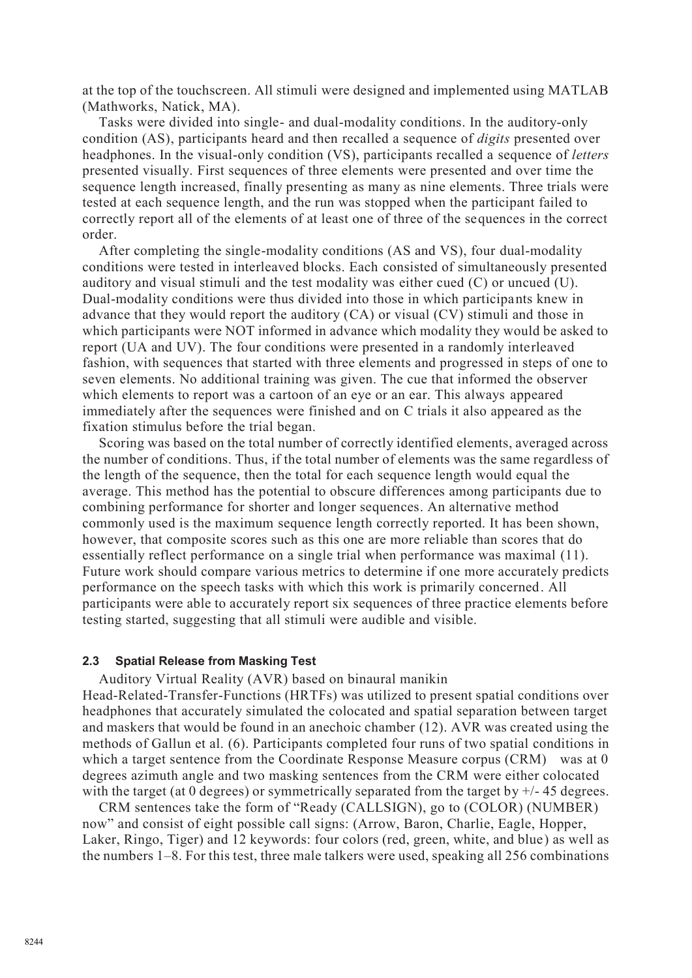at the top of the touchscreen. All stimuli were designed and implemented using MATLAB (Mathworks, Natick, MA).

Tasks were divided into single- and dual-modality conditions. In the auditory-only condition (AS), participants heard and then recalled a sequence of *digits* presented over headphones. In the visual-only condition (VS), participants recalled a sequence of *letters* presented visually. First sequences of three elements were presented and over time the sequence length increased, finally presenting as many as nine elements. Three trials were tested at each sequence length, and the run was stopped when the participant failed to correctly report all of the elements of at least one of three of the sequences in the correct order.

After completing the single-modality conditions (AS and VS), four dual-modality conditions were tested in interleaved blocks. Each consisted of simultaneously presented auditory and visual stimuli and the test modality was either cued (C) or uncued (U). Dual-modality conditions were thus divided into those in which participants knew in advance that they would report the auditory (CA) or visual (CV) stimuli and those in which participants were NOT informed in advance which modality they would be asked to report (UA and UV). The four conditions were presented in a randomly interleaved fashion, with sequences that started with three elements and progressed in steps of one to seven elements. No additional training was given. The cue that informed the observer which elements to report was a cartoon of an eye or an ear. This always appeared immediately after the sequences were finished and on C trials it also appeared as the fixation stimulus before the trial began.

Scoring was based on the total number of correctly identified elements, averaged across the number of conditions. Thus, if the total number of elements was the same regardless of the length of the sequence, then the total for each sequence length would equal the average. This method has the potential to obscure differences among participants due to combining performance for shorter and longer sequences. An alternative method commonly used is the maximum sequence length correctly reported. It has been shown, however, that composite scores such as this one are more reliable than scores that do essentially reflect performance on a single trial when performance was maximal (11). Future work should compare various metrics to determine if one more accurately predicts performance on the speech tasks with which this work is primarily concerned. All participants were able to accurately report six sequences of three practice elements before testing started, suggesting that all stimuli were audible and visible.

#### **2.3 Spatial Release from Masking Test**

Auditory Virtual Reality (AVR) based on binaural manikin Head-Related-Transfer-Functions (HRTFs) was utilized to present spatial conditions over headphones that accurately simulated the colocated and spatial separation between target and maskers that would be found in an anechoic chamber (12). AVR was created using the methods of Gallun et al. (6). Participants completed four runs of two spatial conditions in which a target sentence from the Coordinate Response Measure corpus (CRM) was at 0 degrees azimuth angle and two masking sentences from the CRM were either colocated with the target (at 0 degrees) or symmetrically separated from the target by  $+/- 45$  degrees.

CRM sentences take the form of "Ready (CALLSIGN), go to (COLOR) (NUMBER) now" and consist of eight possible call signs: (Arrow, Baron, Charlie, Eagle, Hopper, Laker, Ringo, Tiger) and 12 keywords: four colors (red, green, white, and blue) as well as the numbers 1–8. For this test, three male talkers were used, speaking all 256 combinations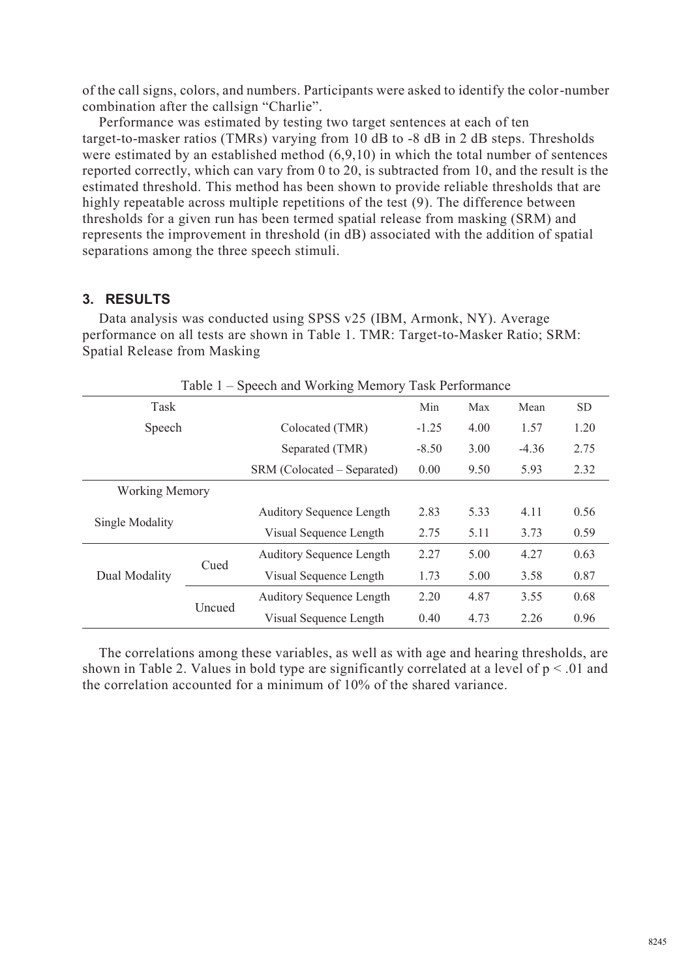of the call signs, colors, and numbers. Participants were asked to identify the color-number combination after the callsign "Charlie".

Performance was estimated by testing two target sentences at each of ten target-to-masker ratios (TMRs) varying from 10 dB to -8 dB in 2 dB steps. Thresholds were estimated by an established method (6,9,10) in which the total number of sentences reported correctly, which can vary from 0 to 20, is subtracted from 10, and the result is the estimated threshold. This method has been shown to provide reliable thresholds that are highly repeatable across multiple repetitions of the test (9). The difference between thresholds for a given run has been termed spatial release from masking (SRM) and represents the improvement in threshold (in dB) associated with the addition of spatial separations among the three speech stimuli.

### **3. RESULTS**

Data analysis was conducted using SPSS v25 (IBM, Armonk, NY). Average performance on all tests are shown in Table 1. TMR: Target-to-Masker Ratio; SRM: Spatial Release from Masking

| Table 1 – Speech and Working Memory Task Performance |        |                                 |         |      |         |      |  |  |  |  |
|------------------------------------------------------|--------|---------------------------------|---------|------|---------|------|--|--|--|--|
| Task                                                 |        |                                 | Min     | Max  | Mean    | SD.  |  |  |  |  |
| Speech                                               |        | Colocated (TMR)                 | $-1.25$ | 4.00 | 1.57    | 1.20 |  |  |  |  |
|                                                      |        | Separated (TMR)                 | $-8.50$ | 3.00 | $-4.36$ | 2.75 |  |  |  |  |
|                                                      |        | SRM (Colocated – Separated)     | 0.00    | 9.50 | 5.93    | 2.32 |  |  |  |  |
| <b>Working Memory</b>                                |        |                                 |         |      |         |      |  |  |  |  |
|                                                      |        | <b>Auditory Sequence Length</b> | 2.83    | 5.33 | 4.11    | 0.56 |  |  |  |  |
| Single Modality                                      |        | Visual Sequence Length          | 2.75    | 5.11 | 3.73    | 0.59 |  |  |  |  |
| Dual Modality                                        | Cued   | <b>Auditory Sequence Length</b> | 2.27    | 5.00 | 4.27    | 0.63 |  |  |  |  |
|                                                      |        | Visual Sequence Length          | 1.73    | 5.00 | 3.58    | 0.87 |  |  |  |  |
|                                                      | Uncued | <b>Auditory Sequence Length</b> | 2.20    | 4.87 | 3.55    | 0.68 |  |  |  |  |
|                                                      |        | Visual Sequence Length          | 0.40    | 4.73 | 2.26    | 0.96 |  |  |  |  |

The correlations among these variables, as well as with age and hearing thresholds, are shown in Table 2. Values in bold type are significantly correlated at a level of  $p < 01$  and the correlation accounted for a minimum of 10% of the shared variance.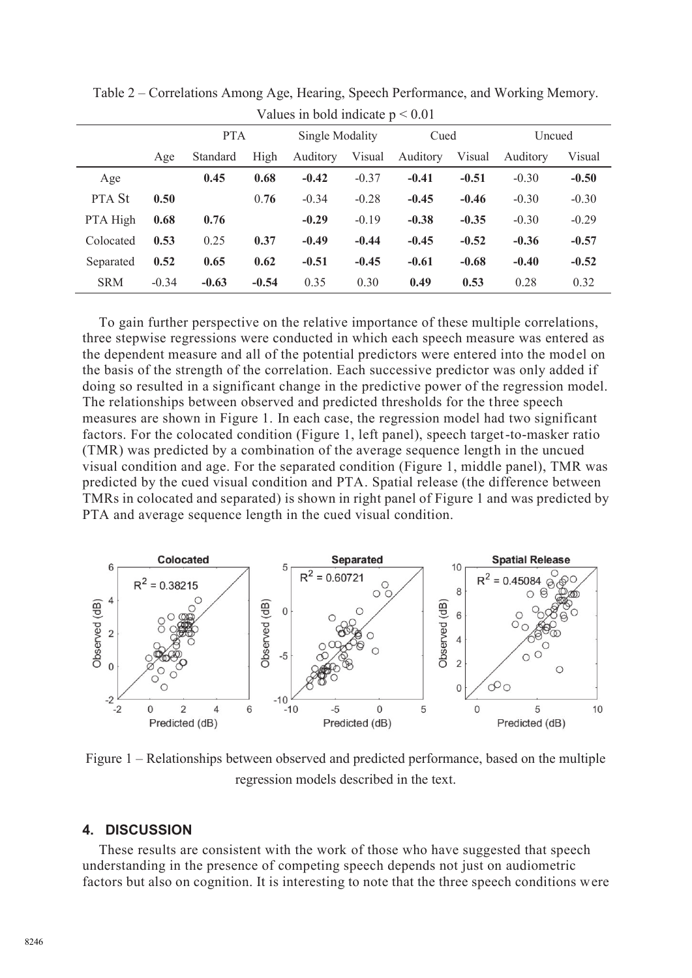|               | $\gamma$ and $\epsilon$ in bold indicate $\beta \sim 0.01$ |            |         |                 |         |          |         |          |         |  |  |
|---------------|------------------------------------------------------------|------------|---------|-----------------|---------|----------|---------|----------|---------|--|--|
|               |                                                            | <b>PTA</b> |         | Single Modality |         | Cued     |         | Uncued   |         |  |  |
|               | Age                                                        | Standard   | High    | Auditory        | Visual  | Auditory | Visual  | Auditory | Visual  |  |  |
| Age           |                                                            | 0.45       | 0.68    | $-0.42$         | $-0.37$ | $-0.41$  | $-0.51$ | $-0.30$  | $-0.50$ |  |  |
| <b>PTA St</b> | 0.50                                                       |            | 0.76    | $-0.34$         | $-0.28$ | $-0.45$  | $-0.46$ | $-0.30$  | $-0.30$ |  |  |
| PTA High      | 0.68                                                       | 0.76       |         | $-0.29$         | $-0.19$ | $-0.38$  | $-0.35$ | $-0.30$  | $-0.29$ |  |  |
| Colocated     | 0.53                                                       | 0.25       | 0.37    | $-0.49$         | $-0.44$ | $-0.45$  | $-0.52$ | $-0.36$  | $-0.57$ |  |  |
| Separated     | 0.52                                                       | 0.65       | 0.62    | $-0.51$         | $-0.45$ | $-0.61$  | $-0.68$ | $-0.40$  | $-0.52$ |  |  |
| <b>SRM</b>    | $-0.34$                                                    | $-0.63$    | $-0.54$ | 0.35            | 0.30    | 0.49     | 0.53    | 0.28     | 0.32    |  |  |

Table 2 – Correlations Among Age, Hearing, Speech Performance, and Working Memory. Values in bold indicate  $p < 0.01$ 

To gain further perspective on the relative importance of these multiple correlations, three stepwise regressions were conducted in which each speech measure was entered as the dependent measure and all of the potential predictors were entered into the model on the basis of the strength of the correlation. Each successive predictor was only added if doing so resulted in a significant change in the predictive power of the regression model. The relationships between observed and predicted thresholds for the three speech measures are shown in Figure 1. In each case, the regression model had two significant factors. For the colocated condition (Figure 1, left panel), speech target-to-masker ratio (TMR) was predicted by a combination of the average sequence length in the uncued visual condition and age. For the separated condition (Figure 1, middle panel), TMR was predicted by the cued visual condition and PTA. Spatial release (the difference between TMRs in colocated and separated) is shown in right panel of Figure 1 and was predicted by PTA and average sequence length in the cued visual condition.



Figure 1 – Relationships between observed and predicted performance, based on the multiple regression models described in the text.

### **4. DISCUSSION**

These results are consistent with the work of those who have suggested that speech understanding in the presence of competing speech depends not just on audiometric factors but also on cognition. It is interesting to note that the three speech conditions were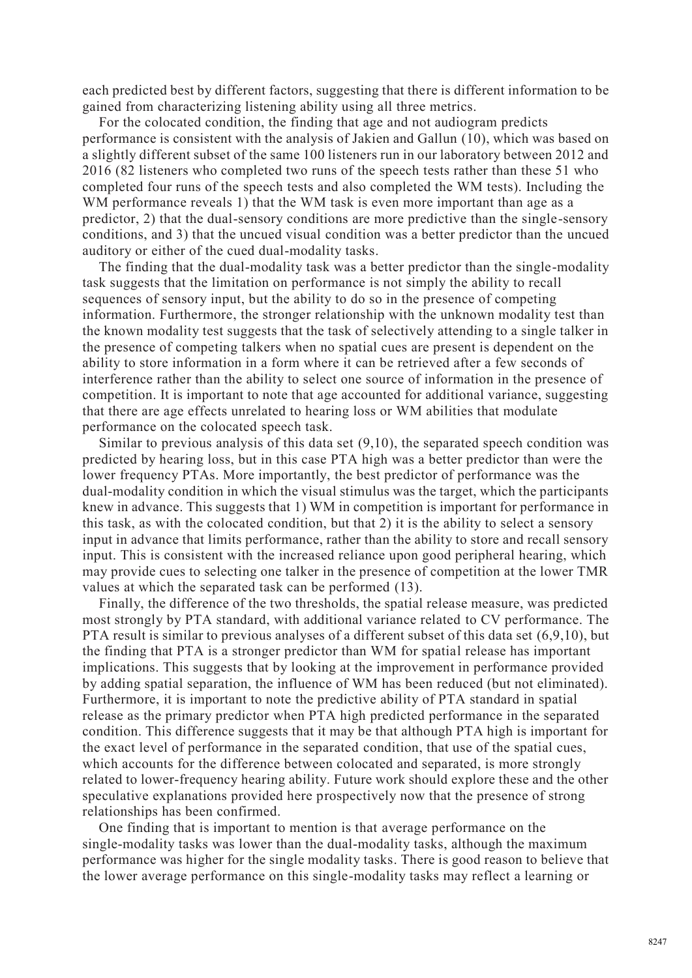each predicted best by different factors, suggesting that there is different information to be gained from characterizing listening ability using all three metrics.

For the colocated condition, the finding that age and not audiogram predicts performance is consistent with the analysis of Jakien and Gallun (10), which was based on a slightly different subset of the same 100 listeners run in our laboratory between 2012 and 2016 (82 listeners who completed two runs of the speech tests rather than these 51 who completed four runs of the speech tests and also completed the WM tests). Including the WM performance reveals 1) that the WM task is even more important than age as a predictor, 2) that the dual-sensory conditions are more predictive than the single-sensory conditions, and 3) that the uncued visual condition was a better predictor than the uncued auditory or either of the cued dual-modality tasks.

The finding that the dual-modality task was a better predictor than the single-modality task suggests that the limitation on performance is not simply the ability to recall sequences of sensory input, but the ability to do so in the presence of competing information. Furthermore, the stronger relationship with the unknown modality test than the known modality test suggests that the task of selectively attending to a single talker in the presence of competing talkers when no spatial cues are present is dependent on the ability to store information in a form where it can be retrieved after a few seconds of interference rather than the ability to select one source of information in the presence of competition. It is important to note that age accounted for additional variance, suggesting that there are age effects unrelated to hearing loss or WM abilities that modulate performance on the colocated speech task.

Similar to previous analysis of this data set  $(9,10)$ , the separated speech condition was predicted by hearing loss, but in this case PTA high was a better predictor than were the lower frequency PTAs. More importantly, the best predictor of performance was the dual-modality condition in which the visual stimulus was the target, which the participants knew in advance. This suggests that 1) WM in competition is important for performance in this task, as with the colocated condition, but that 2) it is the ability to select a sensory input in advance that limits performance, rather than the ability to store and recall sensory input. This is consistent with the increased reliance upon good peripheral hearing, which may provide cues to selecting one talker in the presence of competition at the lower TMR values at which the separated task can be performed (13).

Finally, the difference of the two thresholds, the spatial release measure, was predicted most strongly by PTA standard, with additional variance related to CV performance. The PTA result is similar to previous analyses of a different subset of this data set (6,9,10), but the finding that PTA is a stronger predictor than WM for spatial release has important implications. This suggests that by looking at the improvement in performance provided by adding spatial separation, the influence of WM has been reduced (but not eliminated). Furthermore, it is important to note the predictive ability of PTA standard in spatial release as the primary predictor when PTA high predicted performance in the separated condition. This difference suggests that it may be that although PTA high is important for the exact level of performance in the separated condition, that use of the spatial cues, which accounts for the difference between colocated and separated, is more strongly related to lower-frequency hearing ability. Future work should explore these and the other speculative explanations provided here prospectively now that the presence of strong relationships has been confirmed.

One finding that is important to mention is that average performance on the single-modality tasks was lower than the dual-modality tasks, although the maximum performance was higher for the single modality tasks. There is good reason to believe that the lower average performance on this single-modality tasks may reflect a learning or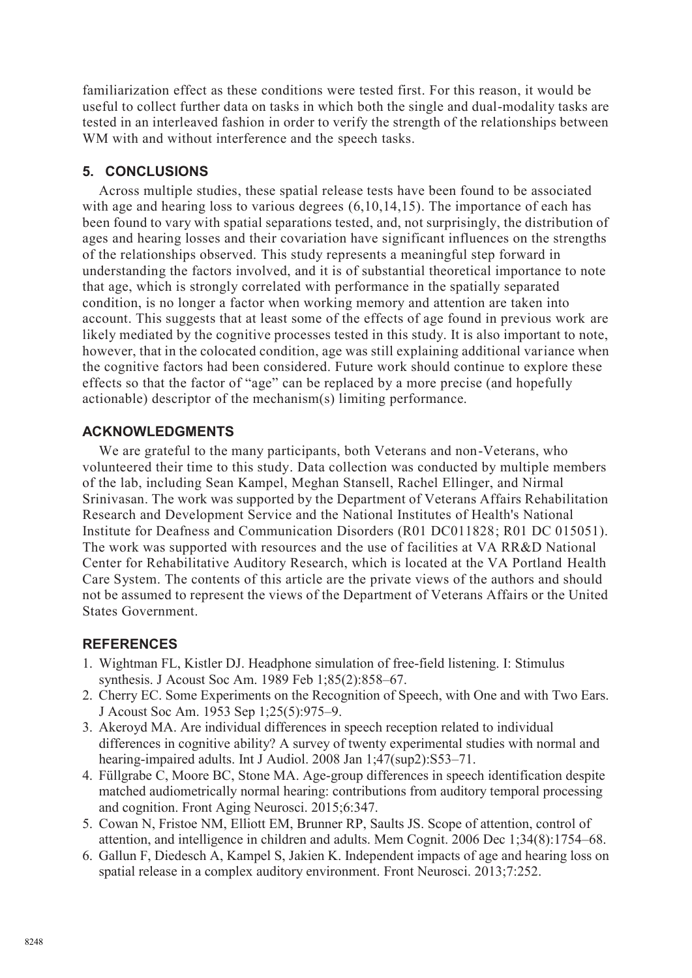familiarization effect as these conditions were tested first. For this reason, it would be useful to collect further data on tasks in which both the single and dual-modality tasks are tested in an interleaved fashion in order to verify the strength of the relationships between WM with and without interference and the speech tasks.

### **5. CONCLUSIONS**

Across multiple studies, these spatial release tests have been found to be associated with age and hearing loss to various degrees  $(6,10,14,15)$ . The importance of each has been found to vary with spatial separations tested, and, not surprisingly, the distribution of ages and hearing losses and their covariation have significant influences on the strengths of the relationships observed. This study represents a meaningful step forward in understanding the factors involved, and it is of substantial theoretical importance to note that age, which is strongly correlated with performance in the spatially separated condition, is no longer a factor when working memory and attention are taken into account. This suggests that at least some of the effects of age found in previous work are likely mediated by the cognitive processes tested in this study. It is also important to note, however, that in the colocated condition, age was still explaining additional variance when the cognitive factors had been considered. Future work should continue to explore these effects so that the factor of "age" can be replaced by a more precise (and hopefully actionable) descriptor of the mechanism(s) limiting performance.

### **ACKNOWLEDGMENTS**

We are grateful to the many participants, both Veterans and non-Veterans, who volunteered their time to this study. Data collection was conducted by multiple members of the lab, including Sean Kampel, Meghan Stansell, Rachel Ellinger, and Nirmal Srinivasan. The work was supported by the Department of Veterans Affairs Rehabilitation Research and Development Service and the National Institutes of Health's National Institute for Deafness and Communication Disorders (R01 DC011828; R01 DC 015051). The work was supported with resources and the use of facilities at VA RR&D National Center for Rehabilitative Auditory Research, which is located at the VA Portland Health Care System. The contents of this article are the private views of the authors and should not be assumed to represent the views of the Department of Veterans Affairs or the United States Government.

# **REFERENCES**

- 1. Wightman FL, Kistler DJ. Headphone simulation of free‐field listening. I: Stimulus synthesis. J Acoust Soc Am. 1989 Feb 1;85(2):858–67.
- 2. Cherry EC. Some Experiments on the Recognition of Speech, with One and with Two Ears. J Acoust Soc Am. 1953 Sep 1;25(5):975–9.
- 3. Akeroyd MA. Are individual differences in speech reception related to individual differences in cognitive ability? A survey of twenty experimental studies with normal and hearing-impaired adults. Int J Audiol. 2008 Jan 1;47(sup2):S53–71.
- 4. Füllgrabe C, Moore BC, Stone MA. Age-group differences in speech identification despite matched audiometrically normal hearing: contributions from auditory temporal processing and cognition. Front Aging Neurosci. 2015;6:347.
- 5. Cowan N, Fristoe NM, Elliott EM, Brunner RP, Saults JS. Scope of attention, control of attention, and intelligence in children and adults. Mem Cognit. 2006 Dec 1;34(8):1754–68.
- 6. Gallun F, Diedesch A, Kampel S, Jakien K. Independent impacts of age and hearing loss on spatial release in a complex auditory environment. Front Neurosci. 2013;7:252.